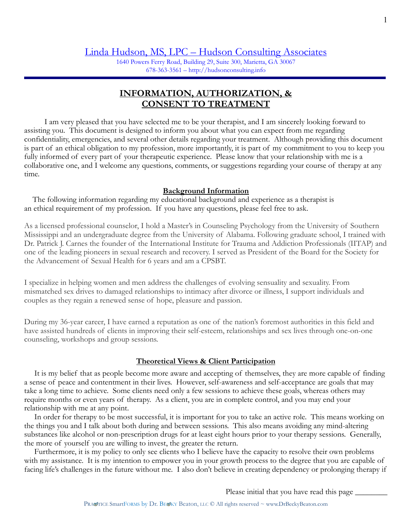1640 Powers Ferry Road, Building 29, Suite 300, Marietta, GA 30067  $678-363-3561 - <http://hudsonconsulting.info>$ 

# **INFORMATION, AUTHORIZATION, & CONSENT TO TREATMENT**

 I am very pleased that you have selected me to be your therapist, and I am sincerely looking forward to assisting you. This document is designed to inform you about what you can expect from me regarding confidentiality, emergencies, and several other details regarding your treatment. Although providing this document is part of an ethical obligation to my profession, more importantly, it is part of my commitment to you to keep you fully informed of every part of your therapeutic experience. Please know that your relationship with me is a collaborative one, and I welcome any questions, comments, or suggestions regarding your course of therapy at any time.

### **Background Information**

 The following information regarding my educational background and experience as a therapist is an ethical requirement of my profession. If you have any questions, please feel free to ask.

As a licensed professional counselor, I hold a Master's in Counseling Psychology from the University of Southern Mississippi and an undergraduate degree from the University of Alabama. Following graduate school, I trained with Dr. Patrick J. Carnes the founder of the International Institute for Trauma and Addiction Professionals (IITAP) and one of the leading pioneers in sexual research and recovery. I served as President of the Board for the Society for the Advancement of Sexual Health for 6 years and am a CPSBT.

I specialize in helping women and men address the challenges of evolving sensuality and sexuality. From mismatched sex drives to damaged relationships to intimacy after divorce or illness, I support individuals and couples as they regain a renewed sense of hope, pleasure and passion.

During my 36-year career, I have earned a reputation as one of the nation's foremost authorities in this field and have assisted hundreds of clients in improving their self-esteem, relationships and sex lives through one-on-one counseling, workshops and group sessions.

#### **Theoretical Views & Client Participation**

 It is my belief that as people become more aware and accepting of themselves, they are more capable of finding a sense of peace and contentment in their lives. However, self-awareness and self-acceptance are goals that may take a long time to achieve. Some clients need only a few sessions to achieve these goals, whereas others may require months or even years of therapy. As a client, you are in complete control, and you may end your relationship with me at any point.

 In order for therapy to be most successful, it is important for you to take an active role. This means working on the things you and I talk about both during and between sessions. This also means avoiding any mind-altering substances like alcohol or non-prescription drugs for at least eight hours prior to your therapy sessions. Generally, the more of yourself you are willing to invest, the greater the return.

 Furthermore, it is my policy to only see clients who I believe have the capacity to resolve their own problems with my assistance. It is my intention to empower you in your growth process to the degree that you are capable of facing life's challenges in the future without me. I also don't believe in creating dependency or prolonging therapy if

Please initial that you have read this page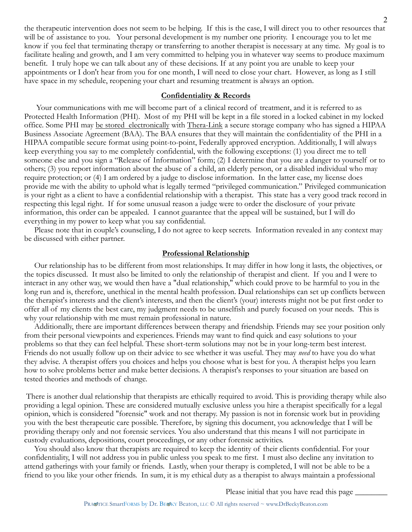the therapeutic intervention does not seem to be helping. If this is the case, I will direct you to other resources that will be of assistance to you. Your personal development is my number one priority. I encourage you to let me know if you feel that terminating therapy or transferring to another therapist is necessary at any time. My goal is to facilitate healing and growth, and I am very committed to helping you in whatever way seems to produce maximum benefit. I truly hope we can talk about any of these decisions. If at any point you are unable to keep your appointments or I don't hear from you for one month, I will need to close your chart. However, as long as I still have space in my schedule, reopening your chart and resuming treatment is always an option.

# **Confidentiality & Records**

 Your communications with me will become part of a clinical record of treatment, and it is referred to as Protected Health Information (PHI). Most of my PHI will be kept in a file stored in a locked cabinet in my locked office. Some PHI may be stored electronically with Thera-Link a secure storage company who has signed a HIPAA Business Associate Agreement (BAA). The BAA ensures that they will maintain the confidentiality of the PHI in a HIPAA compatible secure format using point-to-point, Federally approved encryption. Additionally, I will always keep everything you say to me completely confidential, with the following exceptions: (1) you direct me to tell someone else and you sign a "Release of Information" form; (2) I determine that you are a danger to yourself or to others; (3) you report information about the abuse of a child, an elderly person, or a disabled individual who may require protection; or (4) I am ordered by a judge to disclose information. In the latter case, my license does provide me with the ability to uphold what is legally termed "privileged communication." Privileged communication is your right as a client to have a confidential relationship with a therapist. This state has a very good track record in respecting this legal right. If for some unusual reason a judge were to order the disclosure of your private information, this order can be appealed. I cannot guarantee that the appeal will be sustained, but I will do everything in my power to keep what you say confidential.

 Please note that in couple's counseling, I do not agree to keep secrets. Information revealed in any context may be discussed with either partner.

#### **Professional Relationship**

 Our relationship has to be different from most relationships. It may differ in how long it lasts, the objectives, or the topics discussed. It must also be limited to only the relationship of therapist and client. If you and I were to interact in any other way, we would then have a "dual relationship," which could prove to be harmful to you in the long run and is, therefore, unethical in the mental health profession. Dual relationships can set up conflicts between the therapist's interests and the client's interests, and then the client's (your) interests might not be put first order to offer all of my clients the best care, my judgment needs to be unselfish and purely focused on your needs. This is why your relationship with me must remain professional in nature.

 Additionally, there are important differences between therapy and friendship. Friends may see your position only from their personal viewpoints and experiences. Friends may want to find quick and easy solutions to your problems so that they can feel helpful. These short-term solutions may not be in your long-term best interest. Friends do not usually follow up on their advice to see whether it was useful. They may *need* to have you do what they advise. A therapist offers you choices and helps you choose what is best for you. A therapist helps you learn how to solve problems better and make better decisions. A therapist's responses to your situation are based on tested theories and methods of change.

There is another dual relationship that therapists are ethically required to avoid. This is providing therapy while also providing a legal opinion. These are considered mutually exclusive unless you hire a therapist specifically for a legal opinion, which is considered "forensic" work and not therapy. My passion is not in forensic work but in providing you with the best therapeutic care possible. Therefore, by signing this document, you acknowledge that I will be providing therapy only and not forensic services. You also understand that this means I will not participate in custody evaluations, depositions, court proceedings, or any other forensic activities.

 You should also know that therapists are required to keep the identity of their clients confidential. For your confidentiality, I will not address you in public unless you speak to me first. I must also decline any invitation to attend gatherings with your family or friends. Lastly, when your therapy is completed, I will not be able to be a friend to you like your other friends. In sum, it is my ethical duty as a therapist to always maintain a professional

Please initial that you have read this page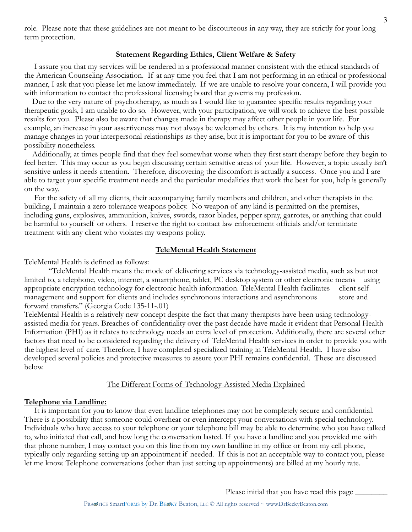role. Please note that these guidelines are not meant to be discourteous in any way, they are strictly for your longterm protection.

### **Statement Regarding Ethics, Client Welfare & Safety**

 I assure you that my services will be rendered in a professional manner consistent with the ethical standards of the American Counseling Association. If at any time you feel that I am not performing in an ethical or professional manner, I ask that you please let me know immediately. If we are unable to resolve your concern, I will provide you with information to contact the professional licensing board that governs my profession.

 Due to the very nature of psychotherapy, as much as I would like to guarantee specific results regarding your therapeutic goals, I am unable to do so. However, with your participation, we will work to achieve the best possible results for you. Please also be aware that changes made in therapy may affect other people in your life. For example, an increase in your assertiveness may not always be welcomed by others. It is my intention to help you manage changes in your interpersonal relationships as they arise, but it is important for you to be aware of this possibility nonetheless.

 Additionally, at times people find that they feel somewhat worse when they first start therapy before they begin to feel better. This may occur as you begin discussing certain sensitive areas of your life. However, a topic usually isn't sensitive unless it needs attention. Therefore, discovering the discomfort is actually a success. Once you and I are able to target your specific treatment needs and the particular modalities that work the best for you, help is generally on the way.

 For the safety of all my clients, their accompanying family members and children, and other therapists in the building, I maintain a zero tolerance weapons policy. No weapon of any kind is permitted on the premises, including guns, explosives, ammunition, knives, swords, razor blades, pepper spray, garrotes, or anything that could be harmful to yourself or others. I reserve the right to contact law enforcement officials and/or terminate treatment with any client who violates my weapons policy.

#### **TeleMental Health Statement**

TeleMental Health is defined as follows:

"TeleMental Health means the mode of delivering services via technology-assisted media, such as but not limited to, a telephone, video, internet, a smartphone, tablet, PC desktop system or other electronic means using appropriate encryption technology for electronic health information. TeleMental Health facilitates client selfmanagement and support for clients and includes synchronous interactions and asynchronous store and forward transfers." (Georgia Code 135-11-.01)

TeleMental Health is a relatively new concept despite the fact that many therapists have been using technologyassisted media for years. Breaches of confidentiality over the past decade have made it evident that Personal Health Information (PHI) as it relates to technology needs an extra level of protection. Additionally, there are several other factors that need to be considered regarding the delivery of TeleMental Health services in order to provide you with the highest level of care. Therefore, I have completed specialized training in TeleMental Health. I have also developed several policies and protective measures to assure your PHI remains confidential. These are discussed below.

### The Different Forms of Technology-Assisted Media Explained

#### **Telephone via Landline:**

 It is important for you to know that even landline telephones may not be completely secure and confidential. There is a possibility that someone could overhear or even intercept your conversations with special technology. Individuals who have access to your telephone or your telephone bill may be able to determine who you have talked to, who initiated that call, and how long the conversation lasted. If you have a landline and you provided me with that phone number, I may contact you on this line from my own landline in my office or from my cell phone, typically only regarding setting up an appointment if needed. If this is not an acceptable way to contact you, please let me know. Telephone conversations (other than just setting up appointments) are billed at my hourly rate.

Please initial that you have read this page  $\_\_$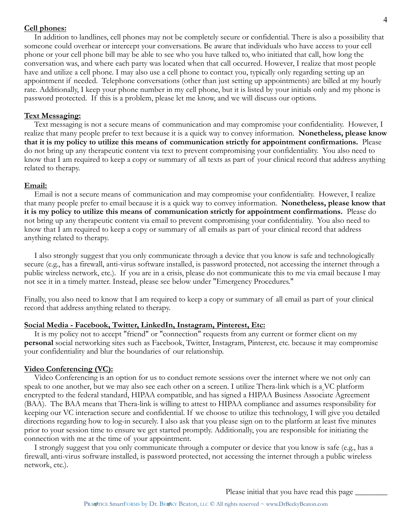### **Cell phones:**

 In addition to landlines, cell phones may not be completely secure or confidential. There is also a possibility that someone could overhear or intercept your conversations. Be aware that individuals who have access to your cell phone or your cell phone bill may be able to see who you have talked to, who initiated that call, how long the conversation was, and where each party was located when that call occurred. However, I realize that most people have and utilize a cell phone. I may also use a cell phone to contact you, typically only regarding setting up an appointment if needed. Telephone conversations (other than just setting up appointments) are billed at my hourly rate. Additionally, I keep your phone number in my cell phone, but it is listed by your initials only and my phone is password protected. If this is a problem, please let me know, and we will discuss our options.

### **Text Messaging:**

 Text messaging is not a secure means of communication and may compromise your confidentiality. However, I realize that many people prefer to text because it is a quick way to convey information. **Nonetheless, please know that it is my policy to utilize this means of communication strictly for appointment confirmations.** Please do not bring up any therapeutic content via text to prevent compromising your confidentiality. You also need to know that I am required to keep a copy or summary of all texts as part of your clinical record that address anything related to therapy.

### **Email:**

 Email is not a secure means of communication and may compromise your confidentiality. However, I realize that many people prefer to email because it is a quick way to convey information. **Nonetheless, please know that it is my policy to utilize this means of communication strictly for appointment confirmations.** Please do not bring up any therapeutic content via email to prevent compromising your confidentiality. You also need to know that I am required to keep a copy or summary of all emails as part of your clinical record that address anything related to therapy.

 I also strongly suggest that you only communicate through a device that you know is safe and technologically secure (e.g., has a firewall, anti-virus software installed, is password protected, not accessing the internet through a public wireless network, etc.). If you are in a crisis, please do not communicate this to me via email because I may not see it in a timely matter. Instead, please see below under "Emergency Procedures."

Finally, you also need to know that I am required to keep a copy or summary of all email as part of your clinical record that address anything related to therapy.

#### **Social Media - Facebook, Twitter, LinkedIn, Instagram, Pinterest, Etc:**

 It is my policy not to accept "friend" or "connection" requests from any current or former client on my **personal** social networking sites such as Facebook, Twitter, Instagram, Pinterest, etc. because it may compromise your confidentiality and blur the boundaries of our relationship.

#### **Video Conferencing (VC):**

 Video Conferencing is an option for us to conduct remote sessions over the internet where we not only can speak to one another, but we may also see each other on a screen. I utilize Thera-link which is a VC platform encrypted to the federal standard, HIPAA compatible, and has signed a HIPAA Business Associate Agreement (BAA). The BAA means that Thera-link is willing to attest to HIPAA compliance and assumes responsibility for keeping our VC interaction secure and confidential. If we choose to utilize this technology, I will give you detailed directions regarding how to log-in securely. I also ask that you please sign on to the platform at least five minutes prior to your session time to ensure we get started promptly. Additionally, you are responsible for initiating the connection with me at the time of your appointment.

 I strongly suggest that you only communicate through a computer or device that you know is safe (e.g., has a firewall, anti-virus software installed, is password protected, not accessing the internet through a public wireless network, etc.).

Please initial that you have read this page  $\frac{1}{\sqrt{2\pi}}$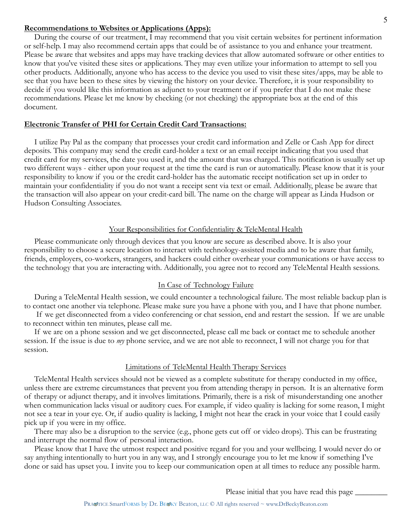#### **Recommendations to Websites or Applications (Apps):**

 During the course of our treatment, I may recommend that you visit certain websites for pertinent information or self-help. I may also recommend certain apps that could be of assistance to you and enhance your treatment. Please be aware that websites and apps may have tracking devices that allow automated software or other entities to know that you've visited these sites or applications. They may even utilize your information to attempt to sell you other products. Additionally, anyone who has access to the device you used to visit these sites/apps, may be able to see that you have been to these sites by viewing the history on your device. Therefore, it is your responsibility to decide if you would like this information as adjunct to your treatment or if you prefer that I do not make these recommendations. Please let me know by checking (or not checking) the appropriate box at the end of this document.

#### **Electronic Transfer of PHI for Certain Credit Card Transactions:**

 I utilize Pay Pal as the company that processes your credit card information and Zelle or Cash App for direct deposits. This company may send the credit card-holder a text or an email receipt indicating that you used that credit card for my services, the date you used it, and the amount that was charged. This notification is usually set up two different ways - either upon your request at the time the card is run or automatically. Please know that it is your responsibility to know if you or the credit card-holder has the automatic receipt notification set up in order to maintain your confidentiality if you do not want a receipt sent via text or email. Additionally, please be aware that the transaction will also appear on your credit-card bill. The name on the charge will appear as Linda Hudson or Hudson Consulting Associates.

### Your Responsibilities for Confidentiality & TeleMental Health

 Please communicate only through devices that you know are secure as described above. It is also your responsibility to choose a secure location to interact with technology-assisted media and to be aware that family, friends, employers, co-workers, strangers, and hackers could either overhear your communications or have access to the technology that you are interacting with. Additionally, you agree not to record any TeleMental Health sessions.

### In Case of Technology Failure

 During a TeleMental Health session, we could encounter a technological failure. The most reliable backup plan is to contact one another via telephone. Please make sure you have a phone with you, and I have that phone number.

 If we get disconnected from a video conferencing or chat session, end and restart the session. If we are unable to reconnect within ten minutes, please call me.

 If we are on a phone session and we get disconnected, please call me back or contact me to schedule another session. If the issue is due to *my* phone service, and we are not able to reconnect, I will not charge you for that session.

#### Limitations of TeleMental Health Therapy Services

 TeleMental Health services should not be viewed as a complete substitute for therapy conducted in my office, unless there are extreme circumstances that prevent you from attending therapy in person. It is an alternative form of therapy or adjunct therapy, and it involves limitations. Primarily, there is a risk of misunderstanding one another when communication lacks visual or auditory cues. For example, if video quality is lacking for some reason, I might not see a tear in your eye. Or, if audio quality is lacking, I might not hear the crack in your voice that I could easily pick up if you were in my office.

 There may also be a disruption to the service (e.g., phone gets cut off or video drops). This can be frustrating and interrupt the normal flow of personal interaction.

 Please know that I have the utmost respect and positive regard for you and your wellbeing. I would never do or say anything intentionally to hurt you in any way, and I strongly encourage you to let me know if something I've done or said has upset you. I invite you to keep our communication open at all times to reduce any possible harm.

Please initial that you have read this page  $\_\_$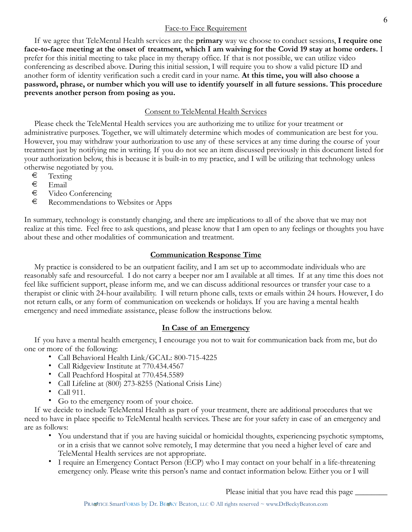## Face-to Face Requirement

 If we agree that TeleMental Health services are the **primary** way we choose to conduct sessions, **I require one face-to-face meeting at the onset of treatment, which I am waiving for the Covid 19 stay at home orders.** I prefer for this initial meeting to take place in my therapy office. If that is not possible, we can utilize video conferencing as described above. During this initial session, I will require you to show a valid picture ID and another form of identity verification such a credit card in your name. **At this time, you will also choose a password, phrase, or number which you will use to identify yourself in all future sessions. This procedure prevents another person from posing as you.** 

# Consent to TeleMental Health Services

 Please check the TeleMental Health services you are authorizing me to utilize for your treatment or administrative purposes. Together, we will ultimately determine which modes of communication are best for you. However, you may withdraw your authorization to use any of these services at any time during the course of your treatment just by notifying me in writing. If you do not see an item discussed previously in this document listed for your authorization below, this is because it is built-in to my practice, and I will be utilizing that technology unless otherwise negotiated by you.

- $\begin{array}{ccc} \in & \text{Testing} \\ \in & \text{Email} \end{array}$
- € Email
- € Video Conferencing
- € Recommendations to Websites or Apps

In summary, technology is constantly changing, and there are implications to all of the above that we may not realize at this time. Feel free to ask questions, and please know that I am open to any feelings or thoughts you have about these and other modalities of communication and treatment.

# **Communication Response Time**

 My practice is considered to be an outpatient facility, and I am set up to accommodate individuals who are reasonably safe and resourceful. I do not carry a beeper nor am I available at all times. If at any time this does not feel like sufficient support, please inform me, and we can discuss additional resources or transfer your case to a therapist or clinic with 24-hour availability. I will return phone calls, texts or emails within 24 hours. However, I do not return calls, or any form of communication on weekends or holidays. If you are having a mental health emergency and need immediate assistance, please follow the instructions below.

# **In Case of an Emergency**

 If you have a mental health emergency, I encourage you not to wait for communication back from me, but do one or more of the following:

- Call Behavioral Health Link/GCAL: 800-715-4225
- Call Ridgeview Institute at 770.434.4567
- Call Peachford Hospital at 770.454.5589
- Call Lifeline at (800) 273-8255 (National Crisis Line)
- Call 911.
- Go to the emergency room of your choice.

 If we decide to include TeleMental Health as part of your treatment, there are additional procedures that we need to have in place specific to TeleMental health services. These are for your safety in case of an emergency and are as follows:

- You understand that if you are having suicidal or homicidal thoughts, experiencing psychotic symptoms, or in a crisis that we cannot solve remotely, I may determine that you need a higher level of care and TeleMental Health services are not appropriate.
- I require an Emergency Contact Person (ECP) who I may contact on your behalf in a life-threatening emergency only. Please write this person's name and contact information below. Either you or I will

Please initial that you have read this page  $\_\_$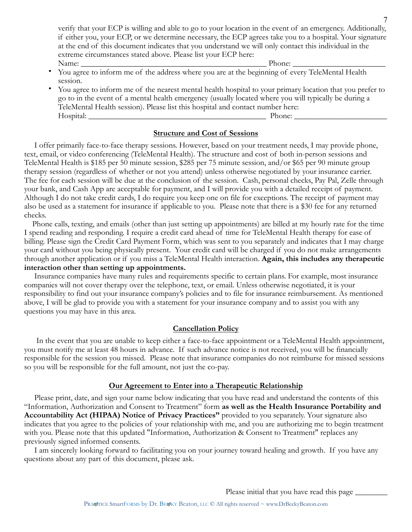verify that your ECP is willing and able to go to your location in the event of an emergency. Additionally, if either you, your ECP, or we determine necessary, the ECP agrees take you to a hospital. Your signature at the end of this document indicates that you understand we will only contact this individual in the extreme circumstances stated above. Please list your ECP here: Name: \_\_\_\_\_\_\_\_\_\_\_\_\_\_\_\_\_\_\_\_\_\_\_\_\_\_\_\_\_\_\_\_\_\_\_\_\_\_\_\_\_\_\_\_\_\_ Phone: \_\_\_\_\_\_\_\_\_\_\_\_\_\_\_\_\_\_\_\_\_\_\_

- You agree to inform me of the address where you are at the beginning of every TeleMental Health session.
- You agree to inform me of the nearest mental health hospital to your primary location that you prefer to go to in the event of a mental health emergency (usually located where you will typically be during a TeleMental Health session). Please list this hospital and contact number here: Hospital: \_\_\_\_\_\_\_\_\_\_\_\_\_\_\_\_\_\_\_\_\_\_\_\_\_\_\_\_\_\_\_\_\_\_\_\_\_\_\_\_\_\_\_\_ Phone: \_\_\_\_\_\_\_\_\_\_\_\_\_\_\_\_\_\_\_\_\_\_\_

# **Structure and Cost of Sessions**

 I offer primarily face-to-face therapy sessions. However, based on your treatment needs, I may provide phone, text, email, or video conferencing (TeleMental Health). The structure and cost of both in-person sessions and TeleMental Health is \$185 per 50 minute session, \$285 per 75 minute session, and/or \$65 per 90 minute group therapy session (regardless of whether or not you attend) unless otherwise negotiated by your insurance carrier. The fee for each session will be due at the conclusion of the session. Cash, personal checks, Pay Pal, Zelle through your bank, and Cash App are acceptable for payment, and I will provide you with a detailed receipt of payment. Although I do not take credit cards, I do require you keep one on file for exceptions. The receipt of payment may also be used as a statement for insurance if applicable to you. Please note that there is a \$30 fee for any returned checks.

 Phone calls, texting, and emails (other than just setting up appointments) are billed at my hourly rate for the time I spend reading and responding. I require a credit card ahead of time for TeleMental Health therapy for ease of billing. Please sign the Credit Card Payment Form, which was sent to you separately and indicates that I may charge your card without you being physically present. Your credit card will be charged if you do not make arrangements through another application or if you miss a TeleMental Health interaction. **Again, this includes any therapeutic interaction other than setting up appointments.** 

 Insurance companies have many rules and requirements specific to certain plans. For example, most insurance companies will not cover therapy over the telephone, text, or email. Unless otherwise negotiated, it is your responsibility to find out your insurance company's policies and to file for insurance reimbursement. As mentioned above, I will be glad to provide you with a statement for your insurance company and to assist you with any questions you may have in this area.

# **Cancellation Policy**

 In the event that you are unable to keep either a face-to-face appointment or a TeleMental Health appointment, you must notify me at least 48 hours in advance. If such advance notice is not received, you will be financially responsible for the session you missed. Please note that insurance companies do not reimburse for missed sessions so you will be responsible for the full amount, not just the co-pay.

# **Our Agreement to Enter into a Therapeutic Relationship**

 Please print, date, and sign your name below indicating that you have read and understand the contents of this "Information, Authorization and Consent to Treatment" form **as well as the Health Insurance Portability and Accountability Act (HIPAA) Notice of Privacy Practices"** provided to you separately. Your signature also indicates that you agree to the policies of your relationship with me, and you are authorizing me to begin treatment with you. Please note that this updated "Information, Authorization & Consent to Treatment" replaces any previously signed informed consents.

 I am sincerely looking forward to facilitating you on your journey toward healing and growth. If you have any questions about any part of this document, please ask.

Please initial that you have read this page